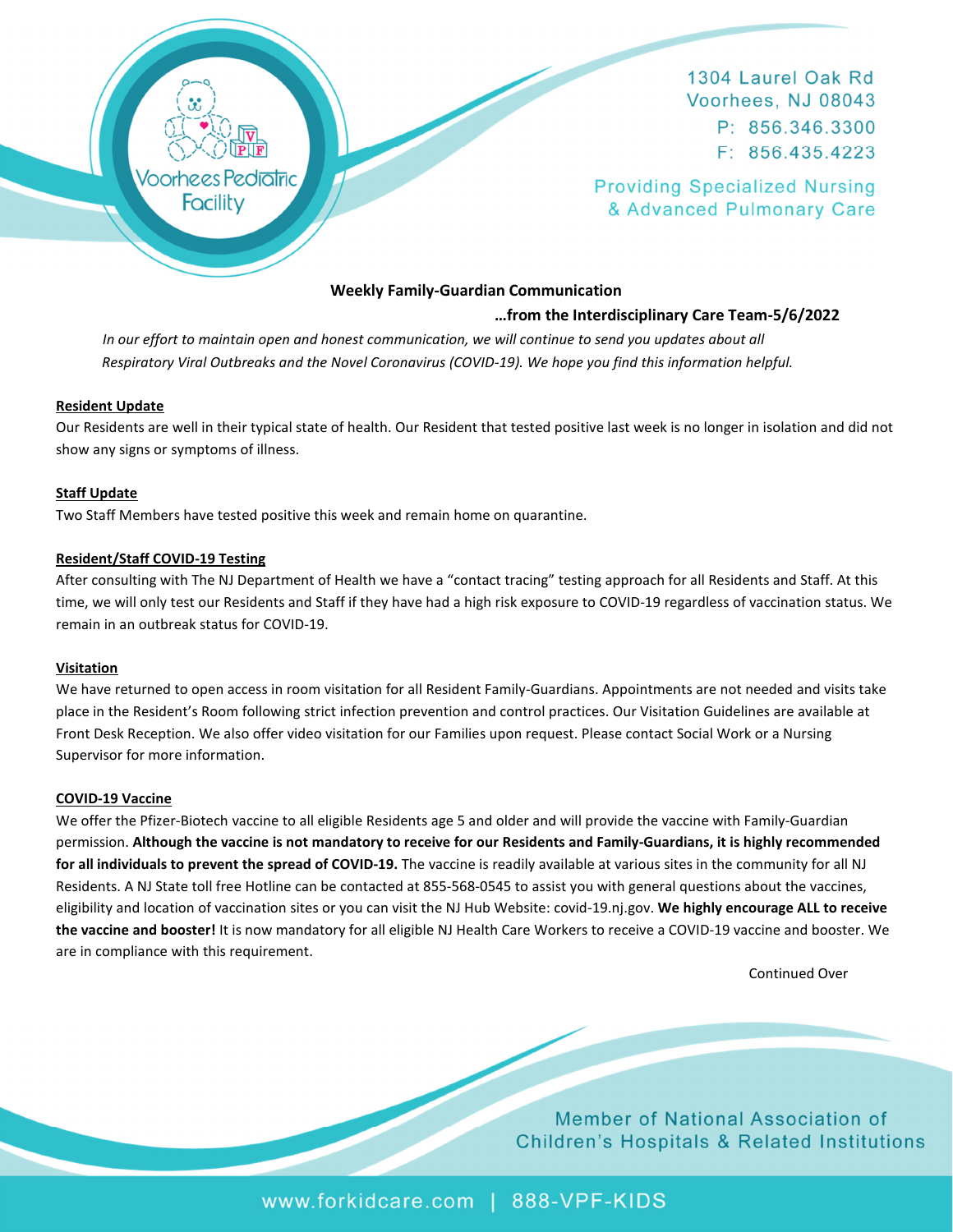

1304 Laurel Oak Rd Voorhees, NJ 08043 P: 856.346.3300  $F: 856.435.4223$ 

**Providing Specialized Nursing** & Advanced Pulmonary Care

# **Weekly Family-Guardian Communication**

## **…from the Interdisciplinary Care Team-5/6/2022**

In our effort to maintain open and honest communication, we will continue to send you updates about all  *Respiratory Viral Outbreaks and the Novel Coronavirus (COVID-19). We hope you find this information helpful.* 

## **Resident Update**

Our Residents are well in their typical state of health. Our Resident that tested positive last week is no longer in isolation and did not show any signs or symptoms of illness.

## **Staff Update**

Two Staff Members have tested positive this week and remain home on quarantine.

## **Resident/Staff COVID-19 Testing**

After consulting with The NJ Department of Health we have a "contact tracing" testing approach for all Residents and Staff. At this time, we will only test our Residents and Staff if they have had a high risk exposure to COVID-19 regardless of vaccination status. We remain in an outbreak status for COVID-19.

#### **Visitation**

We have returned to open access in room visitation for all Resident Family-Guardians. Appointments are not needed and visits take place in the Resident's Room following strict infection prevention and control practices. Our Visitation Guidelines are available at Front Desk Reception. We also offer video visitation for our Families upon request. Please contact Social Work or a Nursing Supervisor for more information.

#### **COVID-19 Vaccine**

We offer the Pfizer-Biotech vaccine to all eligible Residents age 5 and older and will provide the vaccine with Family-Guardian permission. **Although the vaccine is not mandatory to receive for our Residents and Family-Guardians, it is highly recommended for all individuals to prevent the spread of COVID-19.** The vaccine is readily available at various sites in the community for all NJ Residents. A NJ State toll free Hotline can be contacted at 855-568-0545 to assist you with general questions about the vaccines, eligibility and location of vaccination sites or you can visit the NJ Hub Website: covid-19.nj.gov. **We highly encourage ALL to receive the vaccine and booster!** It is now mandatory for all eligible NJ Health Care Workers to receive a COVID-19 vaccine and booster. We are in compliance with this requirement.

Continued Over

Member of National Association of **Children's Hospitals & Related Institutions** 

www.forkidcare.com | 888-VPF-KIDS